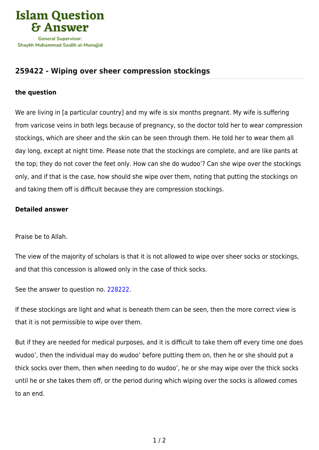

## **[259422 - Wiping over sheer compression stockings](https://islamqa.com/en/answers/259422/wiping-over-sheer-compression-stockings)**

## **the question**

We are living in [a particular country] and my wife is six months pregnant. My wife is suffering from varicose veins in both legs because of pregnancy, so the doctor told her to wear compression stockings, which are sheer and the skin can be seen through them. He told her to wear them all day long, except at night time. Please note that the stockings are complete, and are like pants at the top; they do not cover the feet only. How can she do wudoo'? Can she wipe over the stockings only, and if that is the case, how should she wipe over them, noting that putting the stockings on and taking them off is difficult because they are compression stockings.

## **Detailed answer**

Praise be to Allah.

The view of the majority of scholars is that it is not allowed to wipe over sheer socks or stockings, and that this concession is allowed only in the case of thick socks.

See the answer to question no. [228222](https://islamqa.com/en/answers/228222).

If these stockings are light and what is beneath them can be seen, then the more correct view is that it is not permissible to wipe over them.

But if they are needed for medical purposes, and it is difficult to take them off every time one does wudoo', then the individual may do wudoo' before putting them on, then he or she should put a thick socks over them, then when needing to do wudoo', he or she may wipe over the thick socks until he or she takes them off, or the period during which wiping over the socks is allowed comes to an end.